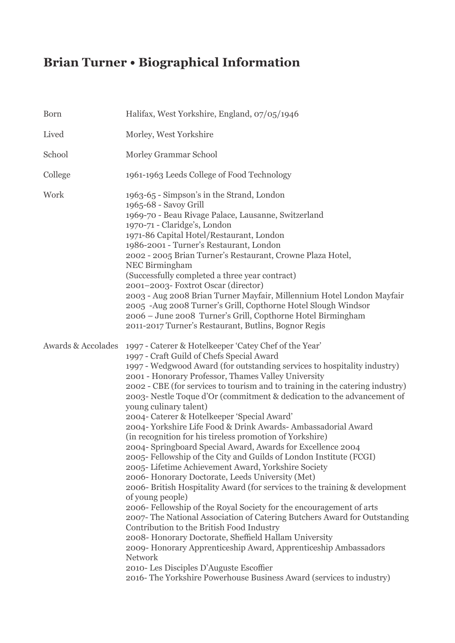## **Brian Turner • Biographical Information**

| Born               | Halifax, West Yorkshire, England, 07/05/1946                                                                                                                                                                                                                                                                                                                                                                                                                                                                                                                                                                                                                                                                                                                                                                                                                                                                                                                                                                                                                                                                                                                                                                                                                                                                                                                                                                               |
|--------------------|----------------------------------------------------------------------------------------------------------------------------------------------------------------------------------------------------------------------------------------------------------------------------------------------------------------------------------------------------------------------------------------------------------------------------------------------------------------------------------------------------------------------------------------------------------------------------------------------------------------------------------------------------------------------------------------------------------------------------------------------------------------------------------------------------------------------------------------------------------------------------------------------------------------------------------------------------------------------------------------------------------------------------------------------------------------------------------------------------------------------------------------------------------------------------------------------------------------------------------------------------------------------------------------------------------------------------------------------------------------------------------------------------------------------------|
| Lived              | Morley, West Yorkshire                                                                                                                                                                                                                                                                                                                                                                                                                                                                                                                                                                                                                                                                                                                                                                                                                                                                                                                                                                                                                                                                                                                                                                                                                                                                                                                                                                                                     |
| School             | Morley Grammar School                                                                                                                                                                                                                                                                                                                                                                                                                                                                                                                                                                                                                                                                                                                                                                                                                                                                                                                                                                                                                                                                                                                                                                                                                                                                                                                                                                                                      |
| College            | 1961-1963 Leeds College of Food Technology                                                                                                                                                                                                                                                                                                                                                                                                                                                                                                                                                                                                                                                                                                                                                                                                                                                                                                                                                                                                                                                                                                                                                                                                                                                                                                                                                                                 |
| Work               | 1963-65 - Simpson's in the Strand, London<br>1965-68 - Savoy Grill<br>1969-70 - Beau Rivage Palace, Lausanne, Switzerland<br>1970-71 - Claridge's, London<br>1971-86 Capital Hotel/Restaurant, London<br>1986-2001 - Turner's Restaurant, London<br>2002 - 2005 Brian Turner's Restaurant, Crowne Plaza Hotel,<br><b>NEC Birmingham</b><br>(Successfully completed a three year contract)<br>2001–2003- Foxtrot Oscar (director)<br>2003 - Aug 2008 Brian Turner Mayfair, Millennium Hotel London Mayfair<br>2005 -Aug 2008 Turner's Grill, Copthorne Hotel Slough Windsor<br>2006 - June 2008 Turner's Grill, Copthorne Hotel Birmingham<br>2011-2017 Turner's Restaurant, Butlins, Bognor Regis                                                                                                                                                                                                                                                                                                                                                                                                                                                                                                                                                                                                                                                                                                                          |
| Awards & Accolades | 1997 - Caterer & Hotelkeeper 'Catey Chef of the Year'<br>1997 - Craft Guild of Chefs Special Award<br>1997 - Wedgwood Award (for outstanding services to hospitality industry)<br>2001 - Honorary Professor, Thames Valley University<br>2002 - CBE (for services to tourism and to training in the catering industry)<br>2003- Nestle Toque d'Or (commitment & dedication to the advancement of<br>young culinary talent)<br>2004- Caterer & Hotelkeeper 'Special Award'<br>2004-Yorkshire Life Food & Drink Awards- Ambassadorial Award<br>(in recognition for his tireless promotion of Yorkshire)<br>2004- Springboard Special Award, Awards for Excellence 2004<br>2005- Fellowship of the City and Guilds of London Institute (FCGI)<br>2005 - Lifetime Achievement Award, Yorkshire Society<br>2006- Honorary Doctorate, Leeds University (Met)<br>2006- British Hospitality Award (for services to the training & development<br>of young people)<br>2006- Fellowship of the Royal Society for the encouragement of arts<br>2007- The National Association of Catering Butchers Award for Outstanding<br>Contribution to the British Food Industry<br>2008- Honorary Doctorate, Sheffield Hallam University<br>2009-Honorary Apprenticeship Award, Apprenticeship Ambassadors<br><b>Network</b><br>2010- Les Disciples D'Auguste Escoffier<br>2016- The Yorkshire Powerhouse Business Award (services to industry) |